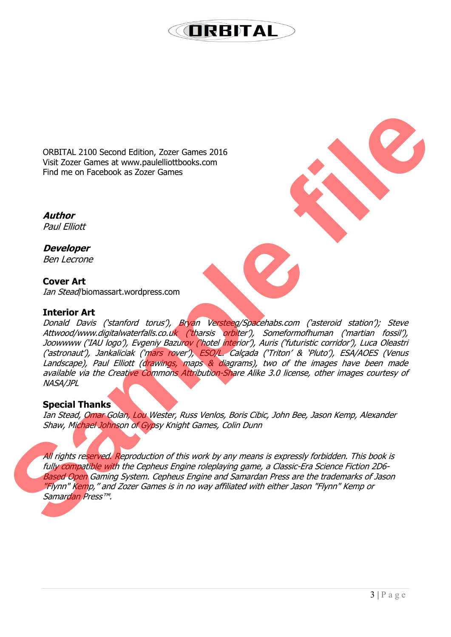### **ORBITAL**

ORBITAL 2100 Second Edition, Zozer Games 2016 Visit Zozer Games at www.paulelliottbooks.com Find me on Facebook as Zozer Games

**Author** Paul Elliott

**Developer** Ben Lecrone

**Cover Art** Ian Stead/biomassart.wordpress.com

#### **Interior Art**

Donald Davis ('stanford torus'), Bryan Versteeg/Spacehabs.com ('asteroid station'); Steve Attwood/www.digitalwaterfalls.co.uk ('tharsis orbiter'), Someformofhuman ('martian fossil'), Joowwww ('IAU logo'), Evgeniy Bazurov ('hotel interior'), Auris ('futuristic corridor'), Luca Oleastri ('astronaut'), Jankaliciak ('mars rover'), ESO/L. Calçada ('Triton' & 'Pluto'), ESA/AOES (Venus Landscape), Paul Elliott (drawings, maps & diagrams), two of the images have been made available via the Creative Commons Attribution-Share Alike 3.0 license, other images courtesy of NASA/JPL **ORBITAL 2100 Second Edition, Zezer Games 2016**<br>
Visit Zozer Gimes at www.gaukilloittibooks.com<br>
Find me on Facebook as Zozer Games 2016<br> **Author**<br> **Author**<br> **Sample per Example for the Construction of the Construction of** 

#### **Special Thanks**

Ian Stead, Omar Golan, Lou Wester, Russ Venlos, Boris Cibic, John Bee, Jason Kemp, Alexander Shaw, Michael Johnson of Gypsy Knight Games, Colin Dunn

All rights reserved. Reproduction of this work by any means is expressly forbidden. This book is fully compatible with the Cepheus Engine roleplaying game, a Classic-Era Science Fiction 2D6- Based Open Gaming System. Cepheus Engine and Samardan Press are the trademarks of Jason "Flynn" Kemp," and Zozer Games is in no way affiliated with either Jason "Flynn" Kemp or Samardan Press™.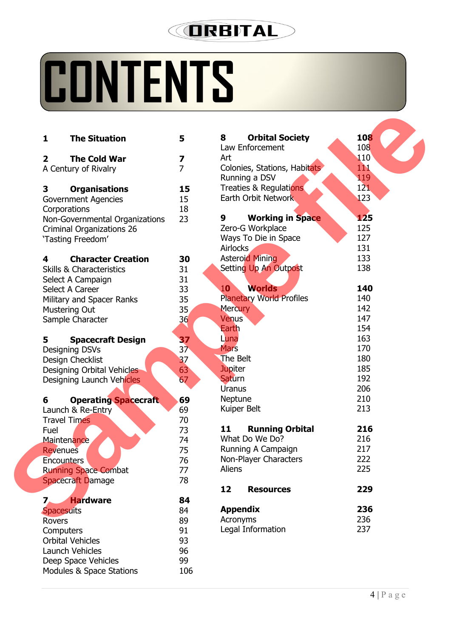## **JRBITAL**

## **CONTENTS**

| <b>The Situation</b><br>$\mathbf{1}$               | 5               | <b>Orbital Society</b><br>8<br>Law Enforcement | <b>108</b><br>108 |
|----------------------------------------------------|-----------------|------------------------------------------------|-------------------|
| $\overline{2}$<br><b>The Cold War</b>              | 7               | Art                                            | 110               |
| A Century of Rivalry                               | $\overline{7}$  | Colonies, Stations, Habitats                   | 11                |
|                                                    |                 | Running a DSV                                  | 119               |
| 3                                                  | 15              | Treaties & Regulations                         | 121               |
| <b>Organisations</b><br><b>Government Agencies</b> | 15              | Earth Orbit Network                            | 123               |
|                                                    | 18              |                                                |                   |
| Corporations                                       | 23              | <b>Working in Space</b><br>9                   | 125               |
| Non-Governmental Organizations                     |                 | Zero-G Workplace                               | 125               |
| Criminal Organizations 26                          |                 | Ways To Die in Space                           | 127               |
| 'Tasting Freedom'                                  |                 | Airlocks                                       | 131               |
|                                                    |                 | <b>Asteroid Mining</b>                         | 133               |
| <b>Character Creation</b><br>4                     | 30              |                                                | 138               |
| <b>Skills &amp; Characteristics</b>                | 31              | Setting Up An Outpost                          |                   |
| Select A Campaign                                  | 31              | <b>Worlds</b><br><b>10</b>                     | 140               |
| Select A Career                                    | 33              |                                                | 140               |
| Military and Spacer Ranks                          | 35              | <b>Planetary World Profiles</b>                |                   |
| <b>Mustering Out</b>                               | 35              | <b>Mercury</b>                                 | 142               |
| Sample Character                                   | 36              | <b>Venus</b>                                   | 147               |
|                                                    |                 | Earth                                          | 154               |
| 5<br><b>Spacecraft Design</b>                      | 37              | Luna                                           | 163               |
| Designing DSVs                                     | 37 <sub>2</sub> | <b>Mars</b>                                    | 170               |
| Design Checklist                                   | 37              | The Belt                                       | 180               |
| Designing Orbital Vehicles                         | 63              | <b>Jupiter</b>                                 | 185               |
| Designing Launch Vehicles                          | 67              | <b>Saturn</b>                                  | 192               |
|                                                    |                 | Uranus                                         | 206               |
| <b>Operating Spacecraft</b><br>6                   | 69              | Neptune                                        | 210               |
| Launch & Re-Entry                                  | 69              | Kuiper Belt                                    | 213               |
| <b>Travel Times</b>                                | 70              |                                                |                   |
| Fuel                                               | 73              | 11<br><b>Running Orbital</b>                   | 216               |
| <b>Maintenance</b>                                 | 74              | What Do We Do?                                 | 216               |
| <b>Revenues</b>                                    | 75              | Running A Campaign                             | 217               |
| <b>Encounters</b>                                  | 76              | Non-Player Characters                          | 222               |
| <b>Running Space Combat</b>                        | 77              | Aliens                                         | 225               |
| <b>Spacecraft Damage</b>                           | 78              |                                                |                   |
|                                                    |                 | 12<br><b>Resources</b>                         | 229               |
| <b>Hardware</b>                                    | 84              |                                                |                   |
| <b>Spacesuits</b>                                  | 84              | <b>Appendix</b>                                | 236               |
| <b>Rovers</b>                                      | 89              | Acronyms                                       | 236               |
| Computers                                          | 91              | Legal Information                              | 237               |
| <b>Orbital Vehicles</b>                            | 93              |                                                |                   |
| Launch Vehicles                                    | 96              |                                                |                   |
| Deep Space Vehicles                                | 99              |                                                |                   |
| Modules & Space Stations                           | 106             |                                                |                   |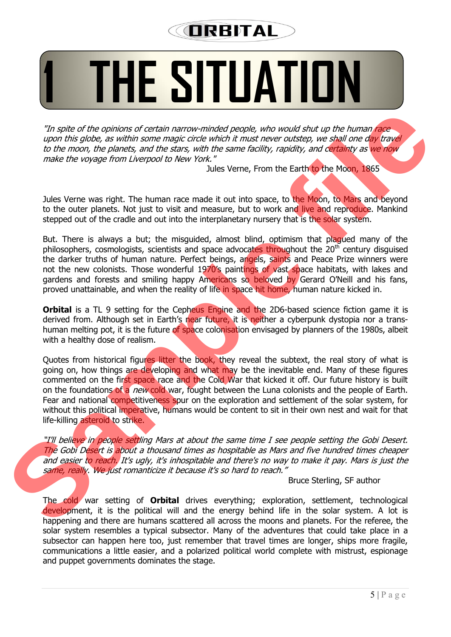## **ORBITAL**

## **1 THE SITUATION**

"In spite of the opinions of certain narrow-minded people, who would shut up the human race upon this globe, as within some magic circle which it must never outstep, we shall one day travel to the moon, the planets, and the stars, with the same facility, rapidity, and certainty as we now make the voyage from Liverpool to New York."

Jules Verne, From the Earth to the Moon, 1865

Jules Verne was right. The human race made it out into space, to the Moon, to Mars and beyond to the outer planets. Not just to visit and measure, but to work and live and reproduce. Mankind stepped out of the cradle and out into the interplanetary nursery that is the solar system.

But. There is always a but; the misquided, almost blind, optimism that plaqued many of the philosophers, cosmologists, scientists and space advocates throughout the  $20<sup>th</sup>$  century disguised the darker truths of human nature. Perfect beings, angels, saints and Peace Prize winners were not the new colonists. Those wonderful 1970's paintings of vast space habitats, with lakes and gardens and forests and smiling happy Americans so beloved by Gerard O'Neill and his fans, proved unattainable, and when the reality of life in space hit home, human nature kicked in.

**Orbital** is a TL 9 setting for the Cepheus Engine and the 2D6-based science fiction game it is derived from. Although set in Earth's near future, it is neither a cyberpunk dystopia nor a transhuman melting pot, it is the future of space colonisation envisaged by planners of the 1980s, albeit with a healthy dose of realism.

Quotes from historical figures litter the book, they reveal the subtext, the real story of what is going on, how things are developing and what may be the inevitable end. Many of these figures commented on the first space race and the Cold War that kicked it off. Our future history is built on the foundations of a *new* cold war, fought between the Luna colonists and the people of Earth. Fear and national competitiveness spur on the exploration and settlement of the solar system, for without this political imperative, humans would be content to sit in their own nest and wait for that life-killing asteroid to strike. The spite of the opinions of certain parrow-minded people, who would shot up the human face<br>to the moon, the planets, and the slare, with the same clotility applied to the moon the planets and the same mode of the same clo

"I'll believe in people settling Mars at about the same time I see people setting the Gobi Desert. The Gobi Desert is about a thousand times as hospitable as Mars and five hundred times cheaper and easier to reach. It's ugly, it's inhospitable and there's no way to make it pay. Mars is just the same, really. We just romanticize it because it's so hard to reach."

Bruce Sterling, SF author

The cold war setting of **Orbital** drives everything; exploration, settlement, technological development, it is the political will and the energy behind life in the solar system. A lot is happening and there are humans scattered all across the moons and planets. For the referee, the solar system resembles a typical subsector. Many of the adventures that could take place in a subsector can happen here too, just remember that travel times are longer, ships more fragile, communications a little easier, and a polarized political world complete with mistrust, espionage and puppet governments dominates the stage.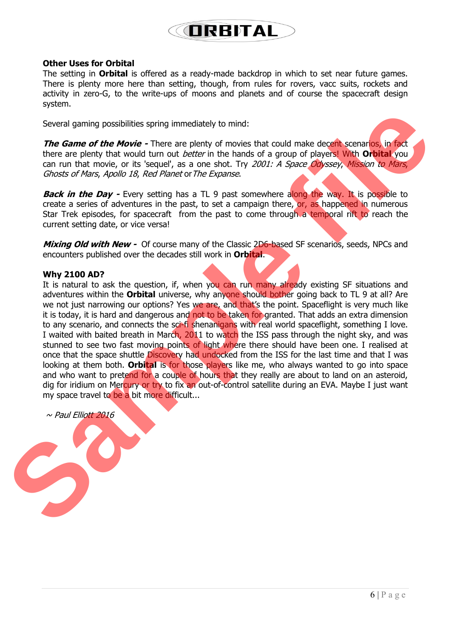### **ORRITAL**

#### **Other Uses for Orbital**

The setting in **Orbital** is offered as a ready-made backdrop in which to set near future games. There is plenty more here than setting, though, from rules for rovers, vacc suits, rockets and activity in zero-G, to the write-ups of moons and planets and of course the spacecraft design system.

Several gaming possibilities spring immediately to mind:

**The Game of the Movie -** There are plenty of movies that could make decent scenarios, in fact there are plenty that would turn out better in the hands of a group of players! With **Orbital** you can run that movie, or its 'sequel', as a one shot. Try 2001: A Space Odyssey, Mission to Mars, Ghosts of Mars, Apollo 18, Red Planet or The Expanse.

**Back in the Day -** Every setting has a TL 9 past somewhere along the way. It is possible to create a series of adventures in the past, to set a campaign there, or, as happened in numerous Star Trek episodes, for spacecraft from the past to come through a temporal rift to reach the current setting date, or vice versa!

**Mixing Old with New -** Of course many of the Classic 2D6-based SF scenarios, seeds, NPCs and encounters published over the decades still work in **Orbital**.

#### **Why 2100 AD?**

It is natural to ask the question, if, when you can run many already existing SF situations and adventures within the **Orbital** universe, why anyone should bother going back to TL 9 at all? Are we not just narrowing our options? Yes we are, and that's the point. Spaceflight is very much like it is today, it is hard and dangerous and not to be taken for granted. That adds an extra dimension to any scenario, and connects the sci-fi shenanigans with real world spaceflight, something I love. I waited with baited breath in March, 2011 to watch the ISS pass through the night sky, and was stunned to see two fast moving points of light where there should have been one. I realised at once that the space shuttle Discovery had undocked from the ISS for the last time and that I was looking at them both. **Orbital** is for those players like me, who always wanted to go into space and who want to pretend for a couple of hours that they really are about to land on an asteroid, dig for iridium on Mercury or try to fix an out-of-control satellite during an EVA. Maybe I just want my space travel to be a bit more difficult... Several gaming possibilities spring immediately to mind:<br>
The Game of the Movie - There are plenty of movies that could make decent seconds in figure the members that we can be branched for a group of players of the base o

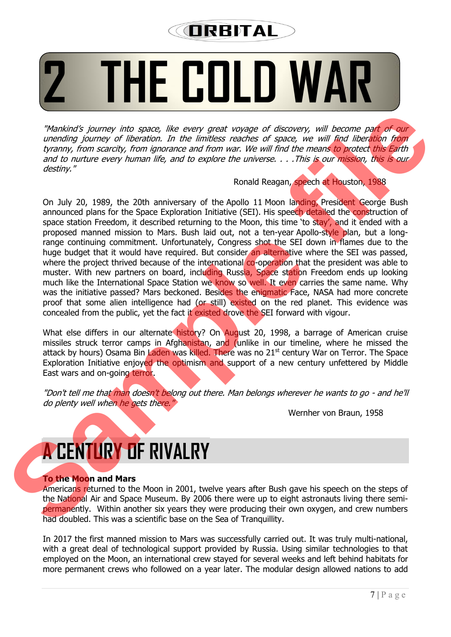### **ORBITAL**

# **2 THE COLD WAR**

"Mankind's journey into space, like every great voyage of discovery, will become part of our unending journey of liberation. In the limitless reaches of space, we will find liberation from tyranny, from scarcity, from ignorance and from war. We will find the means to protect this Earth and to nurture every human life, and to explore the universe. . . . This is our mission, this is our destiny."

#### Ronald Reagan, speech at Houston, 1988

On July 20, 1989, the 20th anniversary of the Apollo 11 Moon landing, President George Bush announced plans for the Space Exploration Initiative (SEI). His speech detailed the construction of space station Freedom, it described returning to the Moon, this time 'to stay', and it ended with a proposed manned mission to Mars. Bush laid out, not a ten-year Apollo-style plan, but a longrange continuing commitment. Unfortunately, Congress shot the SEI down in flames due to the huge budget that it would have required. But consider an alternative where the SEI was passed, where the project thrived because of the international co-operation that the president was able to muster. With new partners on board, including Russia, Space station Freedom ends up looking much like the International Space Station we know so well. It even carries the same name. Why was the initiative passed? Mars beckoned. Besides the enigmatic Face, NASA had more concrete proof that some alien intelligence had (or still) existed on the red planet. This evidence was concealed from the public, yet the fact it existed drove the SEI forward with vigour. **Standards journey into space. We every great voyage of discovery, will become paik of sure unediting fourney of the cattom fourney and sure will filed the standard from the proposition in the interest of space we will fil** 

What else differs in our alternate history? On August 20, 1998, a barrage of American cruise missiles struck terror camps in Afghanistan, and (unlike in our timeline, where he missed the attack by hours) Osama Bin Laden was killed. There was no 21<sup>st</sup> century War on Terror. The Space Exploration Initiative enjoyed the optimism and support of a new century unfettered by Middle East wars and on-going terror.

"Don't tell me that man doesn't belong out there. Man belongs wherever he wants to go - and he'll do plenty well when he gets there."

Wernher von Braun, 1958

## **A CENTURY OF RIVALRY**

#### **To the Moon and Mars**

Americans returned to the Moon in 2001, twelve years after Bush gave his speech on the steps of the National Air and Space Museum. By 2006 there were up to eight astronauts living there semipermanently. Within another six years they were producing their own oxygen, and crew numbers had doubled. This was a scientific base on the Sea of Tranquillity.

In 2017 the first manned mission to Mars was successfully carried out. It was truly multi-national, with a great deal of technological support provided by Russia. Using similar technologies to that employed on the Moon, an international crew stayed for several weeks and left behind habitats for more permanent crews who followed on a year later. The modular design allowed nations to add